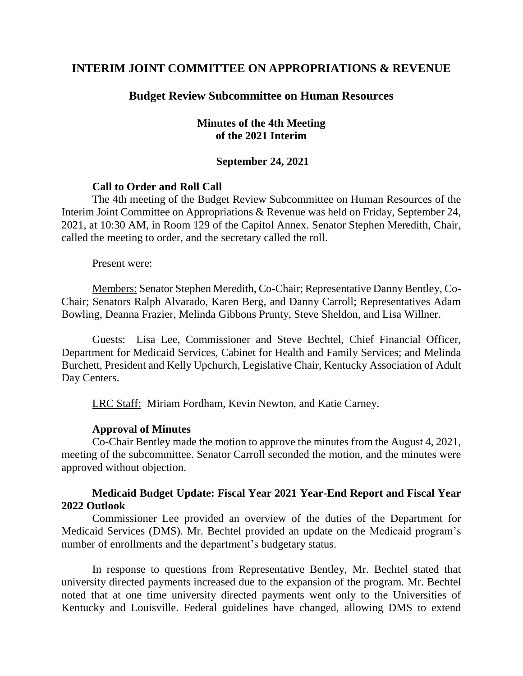# **INTERIM JOINT COMMITTEE ON APPROPRIATIONS & REVENUE**

# **Budget Review Subcommittee on Human Resources**

## **Minutes of the 4th Meeting of the 2021 Interim**

### **September 24, 2021**

#### **Call to Order and Roll Call**

The 4th meeting of the Budget Review Subcommittee on Human Resources of the Interim Joint Committee on Appropriations & Revenue was held on Friday, September 24, 2021, at 10:30 AM, in Room 129 of the Capitol Annex. Senator Stephen Meredith, Chair, called the meeting to order, and the secretary called the roll.

Present were:

Members: Senator Stephen Meredith, Co-Chair; Representative Danny Bentley, Co-Chair; Senators Ralph Alvarado, Karen Berg, and Danny Carroll; Representatives Adam Bowling, Deanna Frazier, Melinda Gibbons Prunty, Steve Sheldon, and Lisa Willner.

Guests: Lisa Lee, Commissioner and Steve Bechtel, Chief Financial Officer, Department for Medicaid Services, Cabinet for Health and Family Services; and Melinda Burchett, President and Kelly Upchurch, Legislative Chair, Kentucky Association of Adult Day Centers.

LRC Staff: Miriam Fordham, Kevin Newton, and Katie Carney.

#### **Approval of Minutes**

Co-Chair Bentley made the motion to approve the minutes from the August 4, 2021, meeting of the subcommittee. Senator Carroll seconded the motion, and the minutes were approved without objection.

### **Medicaid Budget Update: Fiscal Year 2021 Year-End Report and Fiscal Year 2022 Outlook**

Commissioner Lee provided an overview of the duties of the Department for Medicaid Services (DMS). Mr. Bechtel provided an update on the Medicaid program's number of enrollments and the department's budgetary status.

In response to questions from Representative Bentley, Mr. Bechtel stated that university directed payments increased due to the expansion of the program. Mr. Bechtel noted that at one time university directed payments went only to the Universities of Kentucky and Louisville. Federal guidelines have changed, allowing DMS to extend